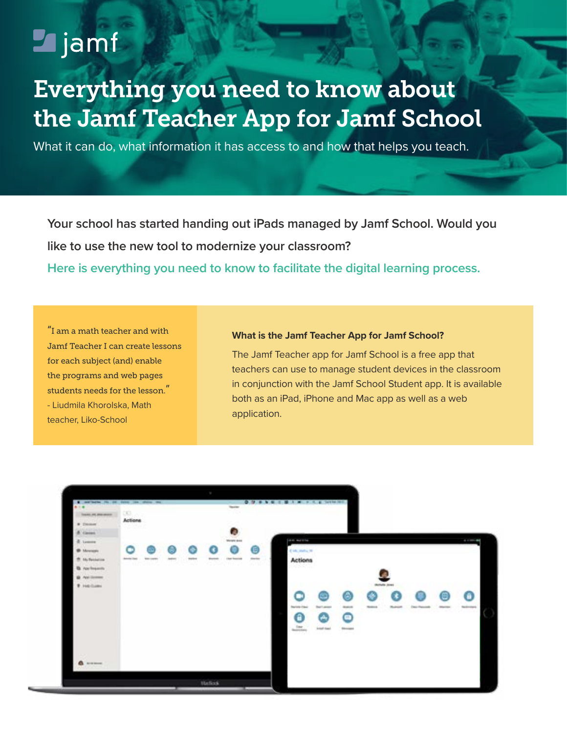# **Le** jamf

## Everything you need to know about the Jamf Teacher App for Jamf School

What it can do, what information it has access to and how that helps you teach.

**Your school has started handing out iPads managed by Jamf School. Would you like to use the new tool to modernize your classroom?**

**Here is everything you need to know to facilitate the digital learning process.**

"I am a math teacher and with Jamf Teacher I can create lessons for each subject (and) enable the programs and web pages students needs for the lesson." - Liudmila Khorolska, Math teacher, Liko-School

#### **What is the Jamf Teacher App for Jamf School?**

The Jamf Teacher app for Jamf School is a free app that teachers can use to manage student devices in the classroom in conjunction with the Jamf School Student app. It is available both as an iPad, iPhone and Mac app as well as a web application.

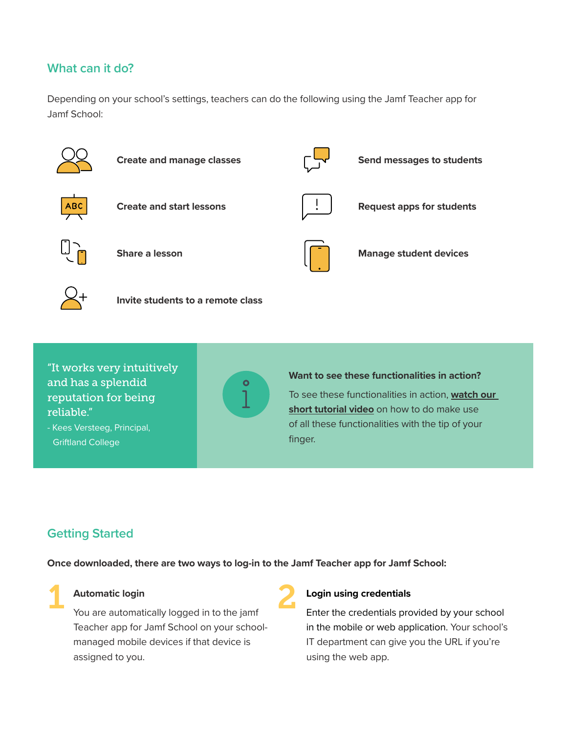### **What can it do?**

Depending on your school's settings, teachers can do the following using the Jamf Teacher app for Jamf School:



"It works very intuitively and has a splendid reputation for being reliable."

- Kees Versteeg, Principal, Griftland College

#### **Want to see these functionalities in action?**

To see these functionalities in action, **[watch our](https://www.jamf.com/resources/videos/getting-started-with-the-jamf-teacher-app/)  [short tutorial video](https://www.jamf.com/resources/videos/getting-started-with-the-jamf-teacher-app/)** on how to do make use of all these functionalities with the tip of your finger.

## **Getting Started**

**Once downloaded, there are two ways to log-in to the Jamf Teacher app for Jamf School:**

 $\bullet$ 

## 1

#### **Automatic login**

You are automatically logged in to the jamf Teacher app for Jamf School on your schoolmanaged mobile devices if that device is assigned to you.

## 2

#### **Login using credentials**

Enter the credentials provided by your school in the mobile or web application. Your school's IT department can give you the URL if you're using the web app.